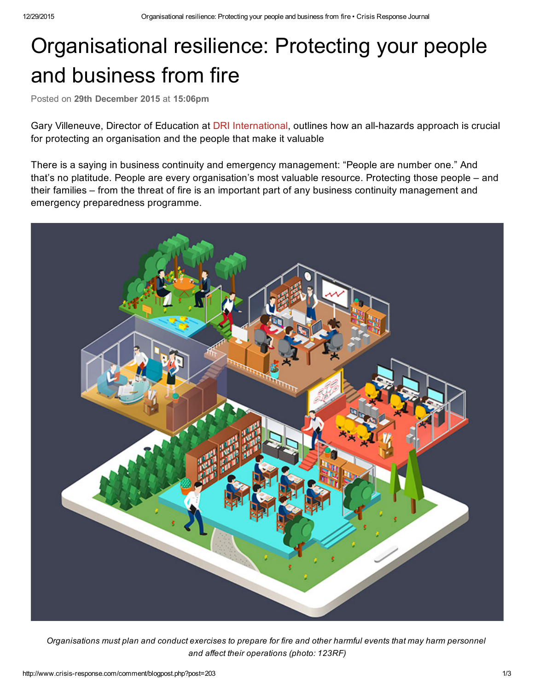## Organisational resilience: Protecting your people and business from fire

Posted on 29th December 2015 at 15:06pm

Gary Villeneuve, Director of Education at DRI [International](https://www.drii.org/), outlines how an all-hazards approach is crucial for protecting an organisation and the people that make it valuable

There is a saying in business continuity and emergency management: "People are number one." And that's no platitude. People are every organisation's most valuable resource. Protecting those people – and their families – from the threat of fire is an important part of any business continuity management and emergency preparedness programme.



Organisations must plan and conduct exercises to prepare for fire and other harmful events that may harm personnel *and affect their operations (photo: 123RF)*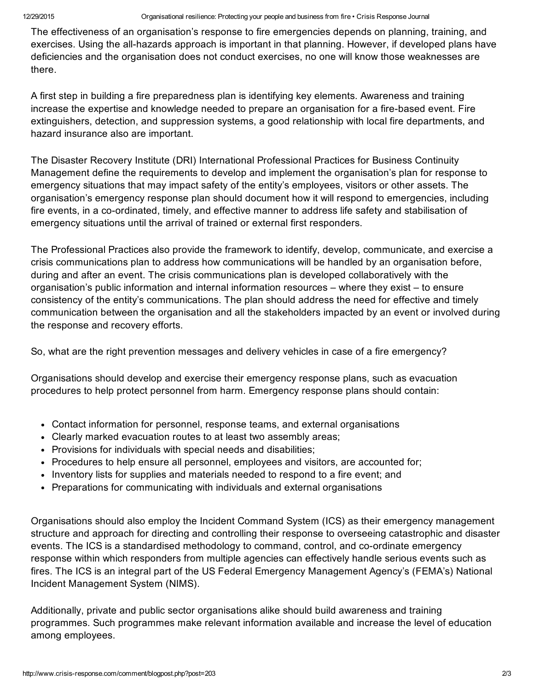The effectiveness of an organisation's response to fire emergencies depends on planning, training, and exercises. Using the all-hazards approach is important in that planning. However, if developed plans have deficiencies and the organisation does not conduct exercises, no one will know those weaknesses are there.

A first step in building a fire preparedness plan is identifying key elements. Awareness and training increase the expertise and knowledge needed to prepare an organisation for a fire-based event. Fire extinguishers, detection, and suppression systems, a good relationship with local fire departments, and hazard insurance also are important.

The Disaster Recovery Institute (DRI) International Professional Practices for Business Continuity Management define the requirements to develop and implement the organisation's plan for response to emergency situations that may impact safety of the entity's employees, visitors or other assets. The organisation's emergency response plan should document how it will respond to emergencies, including fire events, in a co-ordinated, timely, and effective manner to address life safety and stabilisation of emergency situations until the arrival of trained or external first responders.

The Professional Practices also provide the framework to identify, develop, communicate, and exercise a crisis communications plan to address how communications will be handled by an organisation before, during and after an event. The crisis communications plan is developed collaboratively with the organisation's public information and internal information resources – where they exist – to ensure consistency of the entity's communications. The plan should address the need for effective and timely communication between the organisation and all the stakeholders impacted by an event or involved during the response and recovery efforts.

So, what are the right prevention messages and delivery vehicles in case of a fire emergency?

Organisations should develop and exercise their emergency response plans, such as evacuation procedures to help protect personnel from harm. Emergency response plans should contain:

- Contact information for personnel, response teams, and external organisations
- Clearly marked evacuation routes to at least two assembly areas;
- Provisions for individuals with special needs and disabilities;
- Procedures to help ensure all personnel, employees and visitors, are accounted for;
- Inventory lists for supplies and materials needed to respond to a fire event; and
- Preparations for communicating with individuals and external organisations

Organisations should also employ the Incident Command System (ICS) as their emergency management structure and approach for directing and controlling their response to overseeing catastrophic and disaster events. The ICS is a standardised methodology to command, control, and co-ordinate emergency response within which responders from multiple agencies can effectively handle serious events such as fires. The ICS is an integral part of the US Federal Emergency Management Agency's (FEMA's) National Incident Management System (NIMS).

Additionally, private and public sector organisations alike should build awareness and training programmes. Such programmes make relevant information available and increase the level of education among employees.